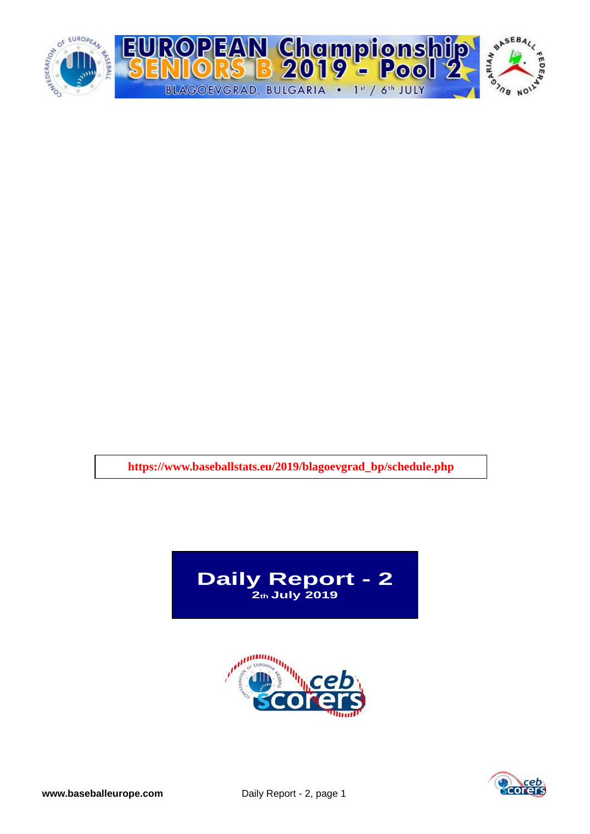

**https://www.baseballstats.eu/2019/blagoevgrad\_bp/schedule.php**





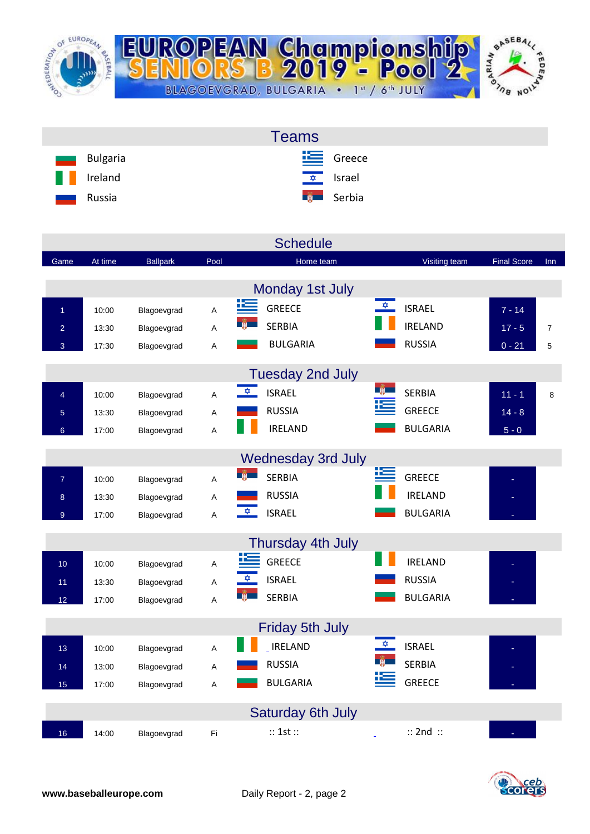

| <b>Teams</b>                              |  |
|-------------------------------------------|--|
| $E$ Greece<br>Bulgaria<br>and a           |  |
| H<br><u><del>↓</del> srael</u><br>Ireland |  |
| <b>Expedit</b> Serbia<br>Russia<br>ـــ    |  |

|                 |         |                 |      | <b>Schedule</b>                |                                       |                    |                |
|-----------------|---------|-----------------|------|--------------------------------|---------------------------------------|--------------------|----------------|
| Game            | At time | <b>Ballpark</b> | Pool | Home team                      | Visiting team                         | <b>Final Score</b> | <b>Inn</b>     |
|                 |         |                 |      | Monday 1st July                |                                       |                    |                |
| $\overline{1}$  | 10:00   | Blagoevgrad     | A    | <u>iks</u><br><b>GREECE</b>    | $\frac{1}{\sqrt{2}}$<br><b>ISRAEL</b> | $7 - 14$           |                |
| $\overline{a}$  | 13:30   | Blagoevgrad     | А    | <b>SERBIA</b>                  | <b>IRELAND</b>                        | $17 - 5$           | $\overline{7}$ |
| 3               | 17:30   | Blagoevgrad     | Α    | <b>BULGARIA</b>                | <b>RUSSIA</b>                         | $0 - 21$           | 5              |
|                 |         |                 |      |                                |                                       |                    |                |
|                 |         |                 |      | <b>Tuesday 2nd July</b>        |                                       |                    |                |
| $\overline{4}$  | 10:00   | Blagoevgrad     | Α    | $\frac{1}{2}$<br><b>ISRAEL</b> | <b>SERBIA</b>                         | $11 - 1$           | 8              |
| $\overline{5}$  | 13:30   | Blagoevgrad     | A    | <b>RUSSIA</b>                  | <b>GREECE</b>                         | $14 - 8$           |                |
| 6 <sup>°</sup>  | 17:00   | Blagoevgrad     | A    | <b>IRELAND</b>                 | <b>BULGARIA</b>                       | $5 - 0$            |                |
|                 |         |                 |      | <b>Wednesday 3rd July</b>      |                                       |                    |                |
|                 |         |                 |      | <b>SERBIA</b>                  | 迄<br><b>GREECE</b>                    |                    |                |
| $\overline{7}$  | 10:00   | Blagoevgrad     | A    | <b>RUSSIA</b>                  | <b>IRELAND</b>                        |                    |                |
| 8               | 13:30   | Blagoevgrad     | Α    | $\frac{1}{2}$<br><b>ISRAEL</b> | <b>BULGARIA</b>                       |                    |                |
| 9 <sup>°</sup>  | 17:00   | Blagoevgrad     | A    |                                |                                       |                    |                |
|                 |         |                 |      | Thursday 4th July              |                                       |                    |                |
| 10 <sup>°</sup> | 10:00   | Blagoevgrad     | A    | <b>GREECE</b>                  | <b>IRELAND</b>                        |                    |                |
| 11              | 13:30   | Blagoevgrad     | Α    | <b>ISRAEL</b>                  | <b>RUSSIA</b>                         |                    |                |
| 12 <sub>2</sub> | 17:00   | Blagoevgrad     | A    | <b>SERBIA</b>                  | <b>BULGARIA</b>                       |                    |                |
|                 |         |                 |      |                                |                                       |                    |                |
|                 |         |                 |      | <b>Friday 5th July</b>         |                                       |                    |                |
| 13              | 10:00   | Blagoevgrad     | Α    | <b>IRELAND</b>                 | <b>ISRAEL</b>                         |                    |                |
| 14              | 13:00   | Blagoevgrad     | Α    | <b>RUSSIA</b>                  | <b>SERBIA</b>                         |                    |                |
| 15              | 17:00   | Blagoevgrad     | Α    | <b>BULGARIA</b>                | <b>GREECE</b>                         |                    |                |
|                 |         |                 |      | <b>Saturday 6th July</b>       |                                       |                    |                |
| 16              | 14:00   | Blagoevgrad     | Fi   | :: 1st ::                      | $::$ 2nd $::$                         |                    |                |

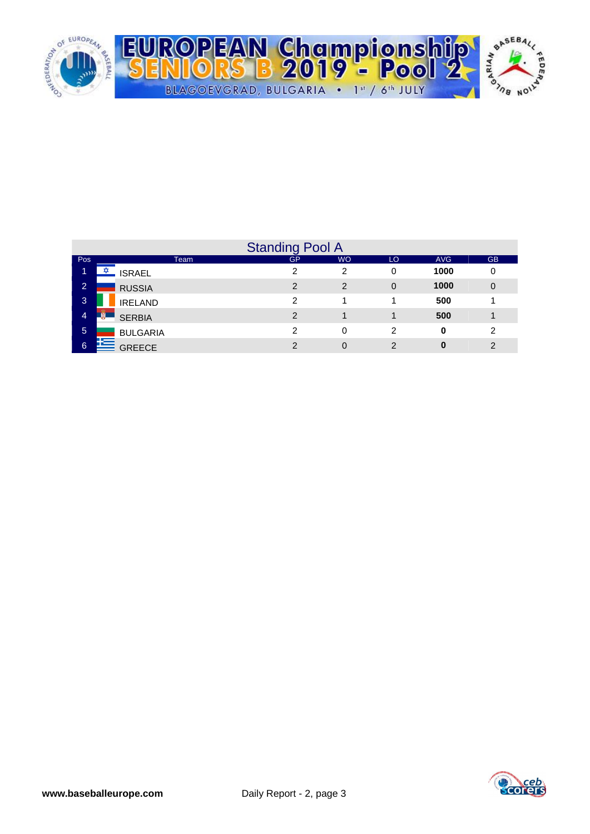

|                |                 | <b>Standing Pool A</b> |           |               |            |               |
|----------------|-----------------|------------------------|-----------|---------------|------------|---------------|
| <b>Pos</b>     | Team            | <b>GP</b>              | <b>WO</b> | LO            | <b>AVG</b> | <b>GB</b>     |
|                | <b>ISRAEL</b>   | ◠                      | 2         | 0             | 1000       | 0             |
| $\overline{2}$ | <b>RUSSIA</b>   | っ                      | 2         | $\Omega$      | 1000       | $\mathbf 0$   |
| $\mathbf{3}$   | <b>IRELAND</b>  | າ                      |           |               | 500        |               |
| $\overline{4}$ | <b>SERBIA</b>   | $\mathcal{P}$          |           |               | 500        |               |
| 5              | <b>BULGARIA</b> | っ                      | 0         | 2             | 0          | 2             |
| 6              | <b>GREECE</b>   | 2                      | 0         | $\mathcal{P}$ | 0          | $\mathcal{P}$ |

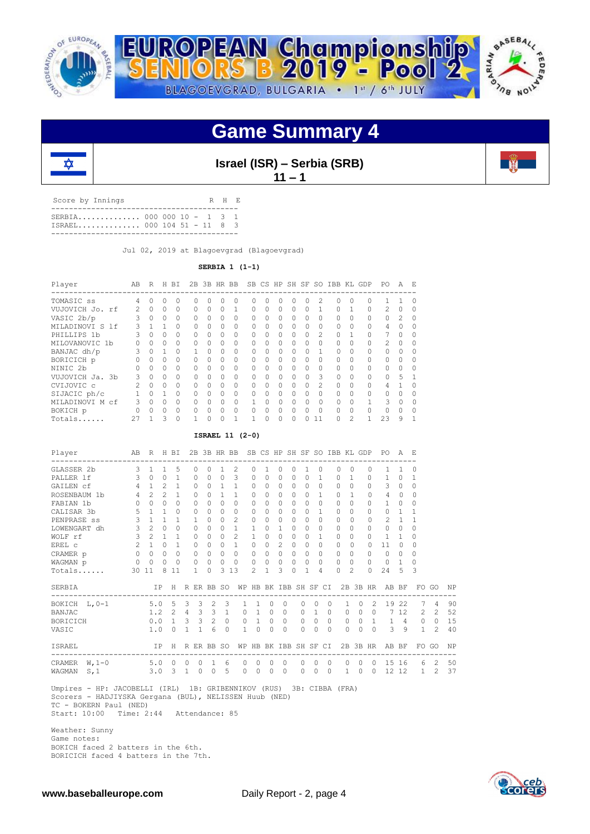

## **Game Summary 4**



**Israel (ISR) – Serbia (SRB)**

**11 – 1**

| Score by Innings                                          |  |  | R H F. |  |
|-----------------------------------------------------------|--|--|--------|--|
| SERBIA 000 000 10 - 1 3 1<br>$ISRAEL$ 000 104 51 - 11 8 3 |  |  |        |  |
|                                                           |  |  |        |  |

Jul 02, 2019 at Blagoevgrad (Blagoevgrad)

**SERBIA 1 (1-1)**

| Player          | AB            | R         | H        | <b>BT</b> | 2.B | 3B HR BB  |              |          | SB.    |              |              |              |              |                | CS HP SH SF SO IBB KL GDP |          |              | PO.            | A             | F. |
|-----------------|---------------|-----------|----------|-----------|-----|-----------|--------------|----------|--------|--------------|--------------|--------------|--------------|----------------|---------------------------|----------|--------------|----------------|---------------|----|
| TOMASIC SS      | 4             |           |          | 0         | U   | 0         |              | 0        | Ω      |              |              |              | Ω            |                |                           |          | $\Omega$     |                |               | Ω  |
| VUJOVICH Jo. rf | $\mathcal{L}$ | $\bigcap$ | 0        | $\Omega$  | 0   | $\Omega$  | $\Omega$     |          | 0      | 0            | $\Omega$     | $\bigcap$    | 0            |                | 0                         |          | $\Omega$     | $\mathfrak{D}$ | $\Omega$      |    |
| VASIC 2b/p      | 3             | $\Omega$  | $\Omega$ | $\Omega$  | 0   | $\Omega$  | 0            | 0        | Λ      | 0            | 0            | $\bigcap$    | 0            | $\Omega$       | 0                         | $\Omega$ | $\Omega$     | $\Omega$       | $\mathcal{P}$ | Ω  |
| MILADINOVI S 1f | 3             |           |          | $\Omega$  | 0   | $\Omega$  | <sup>0</sup> | $\Omega$ | $\cap$ | $\cap$       | <sup>0</sup> |              | 0            | <sup>0</sup>   | $\cap$                    | $\Omega$ | $\Omega$     | 4              | U             |    |
| PHILLIPS 1b     |               | $\Omega$  | 0        | $\Omega$  | 0   | $\Omega$  | $\Omega$     | 0        | Ω      | 0            | $\Omega$     |              | $\Omega$     | $\mathfrak{D}$ | O                         |          | $\Omega$     | 7              | $\Omega$      |    |
| MILOVANOVIC 1b  |               | $\Omega$  | 0        | 0         | 0   | 0         | $\Omega$     | 0        | O      | O            | $\Omega$     | $\Omega$     | 0            | $\Omega$       | 0                         | $\Omega$ | 0            | $\mathfrak{D}$ | 0             |    |
| BANJAC dh/p     | 3             | $\Omega$  |          | $\Omega$  |     | $\Omega$  | <sup>0</sup> | $\Omega$ | $\cap$ | <sup>0</sup> | $\cap$       | <sup>0</sup> | <sup>0</sup> |                | 0                         | $\Omega$ | $\Omega$     | $\Omega$       | U             | Ω  |
| BORICICH p      |               | $\Omega$  | 0        | $\Omega$  | 0   | $\cap$    | $\Omega$     | 0        | Ω      | $\Omega$     | $\Omega$     | $\bigcap$    | 0            | $\Omega$       | 0                         | $\Omega$ | $\Omega$     | $\Omega$       | $\Omega$      |    |
| NINIC 2b        |               | $\Omega$  | 0        | $\Omega$  | 0   | 0         | $\Omega$     | 0        | Ω      | 0            | 0            |              | 0            | $\Omega$       | 0                         | $\Omega$ | $\Omega$     | $\bigcap$      | $\Omega$      |    |
| VUJOVICH Ja. 3b | 3             | $\bigcap$ | $\Omega$ | $\Omega$  | 0   | $\Omega$  | $\cap$       | $\Omega$ | $\cap$ | $\cap$       | $\bigcap$    | $\cap$       | $\cap$       | 3              | 0                         | $\Omega$ | $\Omega$     | $\bigcap$      | 5             |    |
| CVIJOVIC c      |               | $\bigcap$ | $\Omega$ | $\Omega$  | 0   | $\bigcap$ | $\Omega$     | 0        | Ω      | 0            | $\Omega$     | $\Omega$     | $\Omega$     | $\mathcal{L}$  | 0                         | $\Omega$ | $\Omega$     | 4              |               |    |
| SIJACIC ph/c    |               | $\cap$    |          | $\Omega$  | 0   | $\Omega$  | $\Omega$     | 0        | Ω      | O            | $\Omega$     | $\Omega$     | Ω            | $\Omega$       | 0                         | $\Omega$ | $\Omega$     | $\cap$         |               |    |
| MILADINOVI M cf | ζ             | $\bigcap$ | 0        | $\Omega$  | U   | $\Omega$  | $\cap$       | $\cap$   |        | $\cap$       | $\cap$       | <sup>n</sup> | O.           | $\cap$         | 0                         | $\Omega$ | $\mathbf{1}$ | 3              | U             | ∩  |
| BOKICH p        |               | O.        | $\Omega$ | $\Omega$  | U   | $\Omega$  | $\Omega$     | O        | Λ      | Ω            | $\cap$       |              | Λ            | $\Omega$       | U                         | $\Omega$ | $\cap$       | $\cap$         | $\Omega$      |    |
| Totals          | 27            |           | 3        | $\Omega$  |     | 0         | $\Omega$     |          |        | 0            | $\Omega$     |              | ∩            | 11             |                           | 2        |              | 23             | 9             |    |

#### **ISRAEL 11 (2-0)**

| Player<br>---------------------------------                         |                | AB R H BI           |                |                           |              |              |              |                |             |                |              |                |           |              |                                         |            |              |                |                | 2B 3B HR BB SB CS HP SH SF SO IBB KL GDP PO<br>------------------------- | A F.           |                |                |    |
|---------------------------------------------------------------------|----------------|---------------------|----------------|---------------------------|--------------|--------------|--------------|----------------|-------------|----------------|--------------|----------------|-----------|--------------|-----------------------------------------|------------|--------------|----------------|----------------|--------------------------------------------------------------------------|----------------|----------------|----------------|----|
| GLASSER 2b                                                          | $\mathbf{3}$   | $\overline{1}$      | $\mathbf{1}$   | 5                         | 0            | $\Omega$     | $\mathbf{1}$ | 2              |             | $\Omega$       | $\mathbf{1}$ | $\Omega$       | $\Omega$  | $\mathbf{1}$ | $\circ$                                 |            | $\Omega$     | $\Omega$       | $\Omega$       | $\mathbf{1}$                                                             | $\mathbf{1}$   | 0              |                |    |
| PALLER 1f                                                           |                | 3 0 0 1             |                |                           | $\Omega$     | $\Omega$     | $\Omega$     | $\mathcal{B}$  |             | $\Omega$       | $\cap$       | $\Omega$       | $\cap$    | $\Omega$     | $\mathbf{1}$                            |            | $\Omega$     | $\overline{1}$ | $\Omega$       | 1                                                                        | $\Omega$       | 1              |                |    |
| GAILEN Cf                                                           |                | $4 \quad 1$         | $\overline{2}$ | $\mathbf{1}$              | $\circ$      | $\circ$      | $\mathbf{1}$ | $\overline{1}$ |             | 0              | $\Omega$     | 0              | $\circ$   | $\Omega$     | $\circ$                                 |            | $\Omega$     | $\Omega$       | $\Omega$       | 3                                                                        | $\circ$        | 0              |                |    |
| ROSENBAUM 1b                                                        |                | $4 \quad 2$         | $\mathcal{L}$  | $\overline{1}$            | $\Omega$     | $\Omega$     | $\mathbf{1}$ | $\mathbf{1}$   |             | $\Omega$       | $\Omega$     | $\Omega$       | $\Omega$  | $\Omega$     | 1                                       |            | $\Omega$     | $\mathbf{1}$   | $\Omega$       | 4                                                                        | $\Omega$       | $\Omega$       |                |    |
| FABIAN 1b                                                           |                | $0 \quad 0 \quad 0$ |                | $\Omega$                  | $\Omega$     | $\Omega$     | $\Omega$     | $\Omega$       |             | $\Omega$       | $\Omega$     | $\Omega$       | $\bigcap$ | $\cap$       | $\Omega$                                |            | $\Omega$     | $\Omega$       | $\Omega$       | $\mathbf{1}$                                                             | $\Omega$       | $\Omega$       |                |    |
| CALISAR 3b                                                          |                | $5 \quad 1 \quad 1$ |                | $\Omega$                  | $\circ$      | $\Omega$     | $\Omega$     | $\Omega$       |             | 0              | $\Omega$     | $\circ$        | $\Omega$  | $\Omega$     | $\mathbf{1}$                            |            | $\Omega$     | $\Omega$       | $\Omega$       | $\Omega$                                                                 | <sup>1</sup>   | 1              |                |    |
| PENPRASE ss                                                         | $\mathbf{3}$   | $\overline{1}$      | $\mathbf{1}$   | $\mathbf{1}$              | $\mathbf{1}$ | $\Omega$     | $\Omega$     | $\overline{c}$ |             | $\circ$        | $\Omega$     | $\circ$        | $\Omega$  | $\Omega$     | $\Omega$                                |            | $\Omega$     | $\Omega$       | $\Omega$       | 2                                                                        | $\mathbf{1}$   | $\mathbf{1}$   |                |    |
| LOWENGART dh                                                        | $\mathfrak{Z}$ | $2^{\circ}$         | $\Omega$       | $\Omega$                  | $\Omega$     | $\Omega$     | $\cap$       | $\mathbf{1}$   |             | $\mathbf{1}$   | $\Omega$     | $\mathbf{1}$   | $\Omega$  | $\Omega$     | $\Omega$                                |            | $\Omega$     | $\bigcap$      | $\cap$         | $\Omega$                                                                 | $\circ$        | $\Omega$       |                |    |
| WOLF rf                                                             |                | $3 \t2 \t1$         |                | $\overline{1}$            | $\Omega$     | $\Omega$     | $\Omega$     | $2^{1}$        |             | $\mathbf{1}$   | $\cap$       | $\Omega$       | $\Omega$  | $\Omega$     | $\mathbf{1}$                            |            | $\Omega$     | $\Omega$       | $\bigcap$      | $\mathbf{1}$                                                             | $\mathbf{1}$   | $\Omega$       |                |    |
| EREL C                                                              |                | $2\quad1\quad0$     |                | 1                         | $\circ$      | $\circ$      | $\Omega$     | $\overline{1}$ |             | $\circ$        | $\Omega$     | $\overline{c}$ | $\circ$   | $\Omega$     | $\circ$                                 |            | $\circ$      | $\Omega$       | 0              | 11                                                                       | $\Omega$       | $\Omega$       |                |    |
| CRAMER p                                                            |                | $0 \quad 0 \quad 0$ |                | $\Omega$                  | $\Omega$     | $\Omega$     | $\Omega$     | $\Omega$       |             | $\Omega$       | $\Omega$     | $\Omega$       | $\Omega$  | $\Omega$     | $\Omega$                                |            | $\Omega$     | $\Omega$       | $\cap$         | $\Omega$                                                                 | $\circ$        | $\Omega$       |                |    |
| WAGMAN p                                                            | $\circ$        | $\bigcirc$          |                | $0\quad 0$                | $\circ$      | $\bigcirc$   | $\bigcirc$   | $\bigcirc$     |             | $\circ$        | $\Omega$     | $\circ$        | $\Omega$  |              | $\Omega$<br>$\Omega$                    |            | $\Omega$     | $\Omega$       | $\Omega$       | $\Omega$                                                                 | $\overline{1}$ | $\Omega$       |                |    |
| Totals                                                              |                | 30 11               |                | 8 1 1                     | 1            | $\Omega$     |              | 3 1 3          |             | $\mathfrak{D}$ | $\mathbf{1}$ | 3              | $\Omega$  | $\mathbf{1}$ | 4                                       |            | $\Omega$     | $\mathcal{L}$  | $\Omega$       | 24                                                                       | $\overline{5}$ | 3              |                |    |
| SERBIA                                                              |                |                     |                |                           |              |              |              |                |             |                |              |                |           |              |                                         |            |              |                |                | IP H R ER BB SO WP HB BK IBB SH SF CI 2B 3B HR AB BF                     |                |                | FO GO          | NP |
| BOKICH L, 0-1 5.0 5 3 3 2 3                                         |                |                     |                |                           |              |              |              |                | $1 \quad 1$ |                | $\circ$      | $\Omega$       |           | $\Omega$     | $\circ$                                 | $\bigcirc$ | 1            | $\circ$        | 2              |                                                                          |                | 19 22 7        | $\overline{4}$ | 90 |
| <b>BANJAC</b>                                                       |                |                     |                | $1.2$ 2 4 3 3 1           |              |              |              |                |             |                |              | 0 1 0 0        |           |              | $0 \quad 1 \quad 0$                     |            |              |                |                | 0 0 0 7 12 2                                                             |                |                | $2^{1}$        | 52 |
| BORICICH                                                            |                |                     |                | $0.0 \t1 \t3 \t3 \t2 \t0$ |              |              |              |                |             |                |              | 0 1 0 0        |           |              | $\begin{matrix} 0 & 0 & 0 \end{matrix}$ |            |              |                |                | $0 \t 0 \t 1 \t 1 \t 4 \t 0$                                             |                |                | $\circ$        | 15 |
| VASIC                                                               |                |                     |                | $1.0 \t0 1 1 6$           |              |              | $\Omega$     |                | $1 \quad 0$ |                | $\Omega$     | $\bigcirc$     |           | $\Omega$     | $\Omega$                                | $\bigcap$  |              | $\Omega$       |                | $0 \quad 0 \qquad 3 \qquad 9$                                            |                | $\overline{1}$ | $\mathcal{L}$  | 40 |
| <b>ISRAEL</b>                                                       |                |                     |                |                           |              |              |              |                |             |                |              |                |           |              |                                         |            |              |                |                | IP H R ER BB SO WP HB BK IBB SH SF CI 2B 3B HR AB BF                     |                |                | FO GO          | NP |
| CRAMER W, 1-0 5.0 0 0                                               |                |                     |                |                           | $\circ$      | $\mathbf{1}$ | 6            |                | 0           | $\overline{0}$ | $\circ$      | $\circ$        |           | $\circ$      | $\Omega$                                | $\circ$    | $\circ$      | $\circ$        | $\overline{0}$ |                                                                          |                | 15 16 6 2 50   |                |    |
| S.1<br>WAGMAN                                                       |                |                     |                | $3.0 \quad 3 \quad 1$     | $\Omega$     | $\bigcirc$   | 5            |                | $\Omega$    | $\Omega$       | $\Omega$     | $\Omega$       |           | $\Omega$     | $\Omega$                                | $\Omega$   | $\mathbf{1}$ | $\Omega$       | $\Omega$       |                                                                          |                | 12 12 1        | $2^{1}$        | 37 |
| Umpires - HP: JACOBELLI (IRL) 1B: GRIBENNIKOV (RUS) 3B: CIBBA (FRA) |                |                     |                |                           |              |              |              |                |             |                |              |                |           |              |                                         |            |              |                |                |                                                                          |                |                |                |    |

 Scorers - HADJIYSKA Gergana (BUL), NELISSEN Huub (NED) TC - BOKERN Paul (NED) Start: 10:00 Time: 2:44 Attendance: 85

 Weather: Sunny Game notes: BOKICH faced 2 batters in the 6th. BORICICH faced 4 batters in the 7th.



**THE**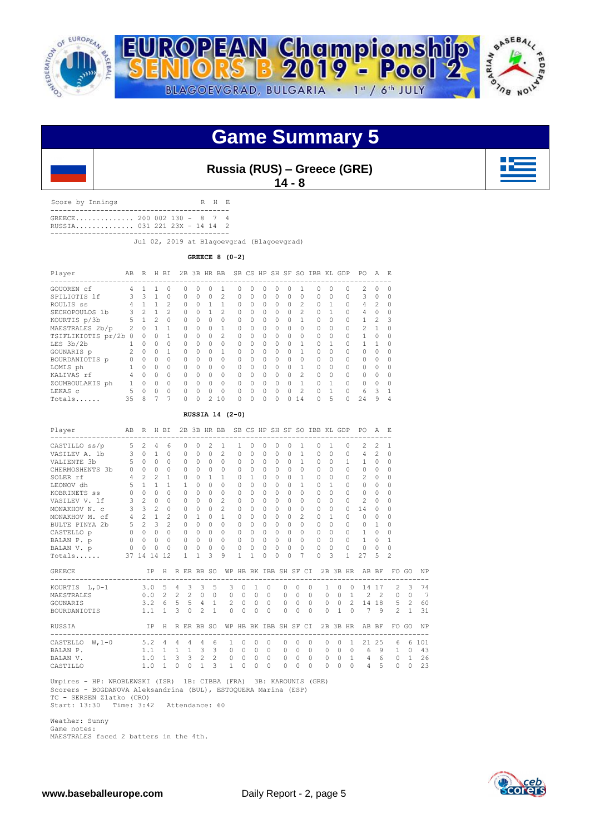

### **Game Summary 5**

**Russia (RUS) – Greece (GRE)**

**14 - 8**

Score by Innings R H E ------------------------------------------- GREECE.............. 200 002 130 - 8 7 4 RUSSIA.............. 031 221 23X - 14 14 2 -------------------------------------------

Jul 02, 2019 at Blagoevgrad (Blagoevgrad)

**GREECE 8 (0-2)**

| Player               | AB | R        | H        | ВI       | 2B       |          | 3B HR BB |                | <b>SB</b> |          | CS HP SH SF |           |          | SO.            | IBB KL GDP |          |   | PO.                                                                                                                                                                                                                                                                                                                                                                                                                        | А              | E.        |
|----------------------|----|----------|----------|----------|----------|----------|----------|----------------|-----------|----------|-------------|-----------|----------|----------------|------------|----------|---|----------------------------------------------------------------------------------------------------------------------------------------------------------------------------------------------------------------------------------------------------------------------------------------------------------------------------------------------------------------------------------------------------------------------------|----------------|-----------|
| GOUOREN cf           | 4  |          |          |          | Ω        | U        |          |                | Ω         | O        | U           | O         | U        |                | $\cap$     | $\Omega$ | Ω | $\mathfrak{D}_{1}^{2}(\mathfrak{D}_{1})=\mathfrak{D}_{2}^{2}(\mathfrak{D}_{2})=\mathfrak{D}_{2}^{2}(\mathfrak{D}_{1})=\mathfrak{D}_{2}^{2}(\mathfrak{D}_{2})=\mathfrak{D}_{2}^{2}(\mathfrak{D}_{1})=\mathfrak{D}_{2}^{2}(\mathfrak{D}_{1})=\mathfrak{D}_{2}^{2}(\mathfrak{D}_{1})=\mathfrak{D}_{2}^{2}(\mathfrak{D}_{2})=\mathfrak{D}_{2}^{2}(\mathfrak{D}_{1})=\mathfrak{D}_{2}^{2}(\mathfrak{D}_{1})=\mathfrak{D}_{2}^{$ |                | $\Omega$  |
| SPILIOTIS 1f         |    | 3        |          | $\Omega$ | 0        | $\Omega$ | 0        | $\overline{2}$ | 0         | $\Omega$ | $\Omega$    | $\bigcap$ | $\Omega$ | $\Omega$       | $\Omega$   | $\Omega$ |   | 3                                                                                                                                                                                                                                                                                                                                                                                                                          | 0              | $\cap$    |
| ROULIS SS            |    |          |          | 2        | O.       | $\Omega$ |          |                | $\cap$    | $\Omega$ | $\Omega$    | $\bigcap$ | $\Omega$ | 2              | $\Omega$   |          |   | 4                                                                                                                                                                                                                                                                                                                                                                                                                          | 2              | $\Omega$  |
| SECHOPOULOS 1b       | 3  | 2        |          | 2        | $\Omega$ | $\Omega$ |          | $\mathfrak{D}$ | $\cap$    | $\Omega$ | $\Omega$    | $\Omega$  | $\Omega$ | $\mathfrak{D}$ | $\Omega$   |          |   | $\overline{4}$                                                                                                                                                                                                                                                                                                                                                                                                             | O              | $\cap$    |
| KOURTIS p/3b         | 5  |          | 2        | $\Omega$ | O.       | 0        | $\Omega$ | $\Omega$       | $\cap$    | 0        | $\Omega$    | $\Omega$  | $\Omega$ |                | $\Omega$   | $\Omega$ |   |                                                                                                                                                                                                                                                                                                                                                                                                                            | $\mathfrak{D}$ | 3         |
| MAESTRALES 2b/p      |    | $\cap$   |          |          | U        | $\Omega$ | $\cap$   |                | $\cap$    | O        | $\cap$      | $\Omega$  | $\Omega$ | $\cap$         | $\cap$     | $\Omega$ |   | 2                                                                                                                                                                                                                                                                                                                                                                                                                          |                | $\cap$    |
| TSIFLIKIOTIS pr/2b 0 |    | Ω        |          |          | 0        | $\Omega$ | $\Omega$ | $\mathfrak{D}$ | $\Omega$  | 0        | $\Omega$    | $\Omega$  | $\Omega$ | $\Omega$       | $\Omega$   | 0        |   |                                                                                                                                                                                                                                                                                                                                                                                                                            |                | $\bigcap$ |
| LES 3b/2b            |    | $\Omega$ | 0        | $\Omega$ | $\Omega$ | $\Omega$ | $\Omega$ | $\Omega$       | $\cap$    | $\Omega$ | $\Omega$    | $\bigcap$ | $\Omega$ |                | $\Omega$   |          |   |                                                                                                                                                                                                                                                                                                                                                                                                                            |                | $\Omega$  |
| GOUNARIS p           | 2  | $\Omega$ | 0        |          | $\Omega$ | $\cap$   | $\Omega$ | 1              | $\cap$    | $\Omega$ | O           | $\Omega$  | $\Omega$ |                | $\cap$     | O        |   | $\cap$                                                                                                                                                                                                                                                                                                                                                                                                                     | O              | $\cap$    |
| BOURDANIOTIS p       |    | $\Omega$ | $\Omega$ | $\Omega$ | O.       | $\cap$   | 0        | $\Omega$       | $\cap$    | O        | O           | $\Omega$  | $\Omega$ | $\cap$         | $\cap$     | $\Omega$ |   | $\cap$                                                                                                                                                                                                                                                                                                                                                                                                                     |                | $\cap$    |
| LOMIS ph             |    | 0        | $\Omega$ |          | $\Omega$ | $\Omega$ | $\Omega$ | $\Omega$       | $\cap$    | O        | $\Omega$    | $\Omega$  | $\Omega$ |                | $\Omega$   | $\Omega$ |   | $\cap$                                                                                                                                                                                                                                                                                                                                                                                                                     |                | $\cap$    |
| KALIVAS rf           | 4  | $\Omega$ | $\Omega$ | $\Omega$ | O.       | U        | $\Omega$ | $\Omega$       | $\cap$    | O        | $\Omega$    | $\Omega$  | $\Omega$ | 2              | $\Omega$   | $\Omega$ |   | $\Omega$                                                                                                                                                                                                                                                                                                                                                                                                                   | O              | $\cap$    |
| ZOUMBOULAKIS ph      |    | O        | $\cap$   | $\Omega$ | $\Omega$ | $\cap$   | $\Omega$ | $\Omega$       | $\cap$    | O        | $\Omega$    | $\bigcap$ | $\Omega$ |                | $\cap$     |          |   | O                                                                                                                                                                                                                                                                                                                                                                                                                          | O              | $\cap$    |
| LEKAS C              | 5  | $\Omega$ | $\cap$   | $\cap$   | Λ        | U        | $\Omega$ | $\Omega$       | $\cap$    | O        | $\cap$      | $\Omega$  | $\Omega$ | 2              | $\cap$     |          |   | 6                                                                                                                                                                                                                                                                                                                                                                                                                          | ς              |           |
| Totals               | 35 | 8        |          |          |          | U        |          | 10             | U         | 0        | $\Omega$    | 0         | 0        | 14             |            | 5        | 0 | 24                                                                                                                                                                                                                                                                                                                                                                                                                         | 9              | 4         |

#### **RUSSIA 14 (2-0)**

| Player                                             |                                       | AB R H BI         |                |                                              |          |                |                 |                         | 2B 3B HR BB SB CS HP SH SF SO IBB KL GDP PO A E<br>---------- |                          |                   |                |          |          |                                     |                |           |                          |          |                |                                                |                |          |                |     |
|----------------------------------------------------|---------------------------------------|-------------------|----------------|----------------------------------------------|----------|----------------|-----------------|-------------------------|---------------------------------------------------------------|--------------------------|-------------------|----------------|----------|----------|-------------------------------------|----------------|-----------|--------------------------|----------|----------------|------------------------------------------------|----------------|----------|----------------|-----|
| ---------------------------------<br>CASTILLO ss/p | 5                                     | 2                 | $\overline{4}$ | 6                                            |          | 0              | $\circ$         | 2                       | 1                                                             | $\mathbf{1}$             | 0                 | $\Omega$       | $\circ$  | $\Omega$ |                                     | 1              | $\bigcap$ | $\mathbf{1}$             |          | $\circ$        | -------------------<br>2                       | $\overline{c}$ | 1        |                |     |
| VASILEV A. 1b 3 0 1                                |                                       |                   |                | $\Omega$                                     |          | $\Omega$       | $\Omega$        | $\Omega$                | 2                                                             | $\Omega$                 | $\Omega$          | $\Omega$       | $\cap$   |          | $0 \quad 1$                         |                | $\Omega$  | $\bigcirc$               |          | $\Omega$       | $4 \quad 2$                                    |                | 0        |                |     |
| VALIENTE 3b 5 0                                    |                                       |                   | $\Omega$       | $\Omega$                                     |          | $\Omega$       | $\Omega$        | $\Omega$                | $\Omega$                                                      | $\Omega$                 | $\Omega$          | $\circ$        | $\Omega$ |          | $\Omega$                            | $\overline{1}$ | $\Omega$  | $\Omega$                 |          | $\mathbf{1}$   | $\mathbf{1}$                                   | $\overline{0}$ | 0        |                |     |
| CHERMOSHENTS 3b 0 0 0                              |                                       |                   |                | $\Omega$                                     |          | $\circ$        | $\Omega$        | $\Omega$                | $\Omega$                                                      | $\Omega$                 | $\Omega$          | $\circ$        | $\Omega$ | $\circ$  |                                     | $\circ$        | $\Omega$  | $\Omega$                 |          | $\Omega$       | $\Omega$                                       | $\overline{0}$ | $\circ$  |                |     |
| SOLER rf 4 2                                       |                                       |                   | $\mathfrak{D}$ | $\mathbf{1}$                                 |          | $\Omega$       | $\Omega$        | $\mathbf{1}$            | $\mathbf{1}$                                                  | $\Omega$                 | $\mathbf{1}$      | $\Omega$       | $\Omega$ | $\Omega$ |                                     | $\overline{1}$ | $\Omega$  | $\Omega$                 |          | 0              | $\overline{2}$                                 | $\Omega$       | $\Omega$ |                |     |
| $\frac{1}{5}$ $\frac{2}{1}$<br>LEONOV dh           |                                       |                   | $\mathbf{1}$   | $\mathbf{1}$                                 |          | $\overline{1}$ | $\Omega$        | $\Omega$                | $\Omega$                                                      | $\Omega$                 | $\Omega$          | $\Omega$       | $\Omega$ | $\Omega$ |                                     | $\mathbf{1}$   | $\Omega$  | $\mathbf{1}$             |          | $\Omega$       | $\Omega$                                       | $\circ$        | 0        |                |     |
| KOBRINETS ss                                       |                                       | $0\quad 0\quad 0$ |                | $\cap$                                       |          | $\cap$         | $\bigcap$       | $\cap$                  | $\Omega$                                                      | $\Omega$                 | $\cap$            | $\Omega$       | $\Omega$ | $\cap$   |                                     | $\cap$         | $\bigcap$ | $\Omega$                 |          | $\Omega$       | $\Omega$                                       | $\Omega$       | $\Omega$ |                |     |
| VASILEV V. lf 3 2 0                                |                                       |                   |                |                                              | 0        | $\Omega$       | $\cap$          | $\cap$                  | 2                                                             | $\Omega$                 |                   | $0\qquad 0$    | $\Omega$ |          | $\cap$                              | $\Omega$       | $\cap$    | $\Omega$                 |          | $\Omega$       | $\mathfrak{D}$                                 | $\overline{0}$ | $\Omega$ |                |     |
| MONAKHOV N. c 3 3 2                                |                                       |                   |                | $\begin{matrix} 0 & 0 \\ 2 & 0 \end{matrix}$ |          |                | $\circ$         |                         | $0 \quad 2$                                                   | $\circ$                  | $\circ$           | $\overline{0}$ | $\Omega$ | $\circ$  |                                     | $\circ$        | $\circ$   | $\mathbf{0}$             |          | $\circ$        | 14                                             | $\overline{0}$ | $\circ$  |                |     |
| MONAKHOV M. cf                                     | $4$ 2 1                               |                   |                | $\overline{2}$                               |          |                | $\mathbf{1}$    | $\cap$                  | $\overline{1}$                                                | $\Omega$                 | $\Omega$          | $\Omega$       | $\Omega$ | $\Omega$ |                                     | $\mathfrak{D}$ | $\Omega$  | $\mathbf{1}$             |          | 0              | $\Omega$                                       | $\Omega$       | $\Omega$ |                |     |
|                                                    |                                       |                   |                |                                              |          | $\Omega$       | $\Omega$        | $\Omega$                | $\Omega$                                                      | $\Omega$                 | $\bigcap$         | $\Omega$       | $\Omega$ | $\Omega$ |                                     | $\bigcap$      | $\cap$    | $\Omega$                 |          | $\Omega$       | $\bigcap$                                      | $\overline{1}$ | 0        |                |     |
| BULTE PINYA 2b 5 2 3 2<br>CASTELLO p 0 0 0 0       |                                       |                   |                |                                              |          | $\Omega$       | $\Omega$        |                         | $\begin{matrix} 0 & 0 \end{matrix}$                           | $\Omega$                 |                   | $0 \quad 0$    | $\Omega$ |          | $\begin{matrix} 0 & 0 \end{matrix}$ |                | $\Omega$  | $\Omega$                 |          | $\Omega$       | $\mathbf{1}$                                   | $\bigcirc$     | $\Omega$ |                |     |
| BALAN P. p<br>BALAN V. p                           |                                       | $0\quad 0\quad 0$ |                |                                              |          | $0\qquad 0$    | $\Omega$        |                         | $0\quad 0$                                                    | $\Omega$                 |                   | $0 \quad 0$    |          |          | $0 \quad 0 \quad 0$                 |                | $\cap$    | $\Omega$                 |          | $\Omega$       | $1 \quad 0$                                    |                | 1        |                |     |
|                                                    |                                       | $0\quad 0\quad 0$ |                | $\overline{0}$                               |          | $\circ$        | $\circ$         | $\overline{0}$          | $\bigcirc$                                                    | $\circ$                  | $\Omega$          | $\Omega$       | $\Omega$ | $\Omega$ |                                     | $\Omega$       | $\Omega$  | $\Omega$                 |          | $\Omega$       | $\circ$                                        | $\overline{0}$ | $\Omega$ |                |     |
| Totals                                             |                                       | 37 14 14          |                | 12                                           |          | $\mathbf{1}$   | $\mathbf{1}$    | $\mathcal{L}$           | 9                                                             | $\mathbf{1}$             | 1                 | $\Omega$       | $\cap$   | $\cap$   |                                     | 7              | $\cap$    | $\mathcal{L}$            |          | $\mathbf{1}$   | 27                                             | 5              | 2        |                |     |
| <b>GREECE</b>                                      |                                       |                   |                |                                              |          |                |                 |                         | IP H R ER BB SO WP HB BK IBB SH SF CI 2B 3B HR AB BF          |                          |                   |                |          |          |                                     |                |           |                          |          |                |                                                |                |          | FO GO          | NP  |
| KOURTIS L, 0-1 3.0 5 4 3 3 5                       |                                       |                   |                |                                              |          |                |                 |                         |                                                               | 3<br>$\circ$             | $\mathbf{1}$      |                | $\circ$  | $\circ$  | $\Omega$                            | $\Omega$       |           | $\mathbf{1}$<br>$\Omega$ |          | $\Omega$       |                                                |                | 14 17 2  | $\mathcal{A}$  | 74  |
| MAESTRALES                                         |                                       |                   |                |                                              |          |                | $0.0$ 2 2 2 0 0 |                         |                                                               | $\circ$                  | $0\quad 0\quad 0$ |                |          |          | $0\quad 0$                          | $\Omega$       |           |                          |          |                | 0 0 1 2 2 0                                    |                |          | $\Omega$       | 7   |
| GOUNARIS                                           |                                       |                   |                |                                              |          |                | $3.2 \t6 5 5 4$ | $\mathbf{1}$            |                                                               | $2 \quad 0$              | $\Omega$          | $\overline{0}$ |          |          | $0\quad 0$                          | $\bigcirc$     |           |                          |          |                | $0 \t 0 \t 2 \t 14 \t 18 \t 5$                 |                |          | $\overline{2}$ | 60  |
| BOURDANIOTIS                                       |                                       |                   |                |                                              |          |                | $1.1$ 1 3 0 2   | $\overline{1}$          |                                                               | $\Omega$<br>$\Omega$     | $\Omega$          | $\bigcirc$     |          | $\Omega$ | $\Omega$                            | $\bigcirc$     |           | $\Omega$                 |          |                | $1 \t0 \t7 \t9 \t2$                            |                |          | $\overline{1}$ | 31  |
| RUSSIA                                             |                                       |                   | IP H           |                                              |          |                | R ER BB SO      |                         |                                                               | WP HB BK IBB SH SF CI    |                   |                |          |          |                                     |                |           |                          |          |                | 2B 3B HR AB BF<br>---------------------------- |                | FO       | GO             | NP  |
| CASTELLO W, 1-0                                    | $5.2 \quad 4 \quad 4 \quad 4 \quad 4$ |                   |                |                                              |          |                |                 | 6                       |                                                               | $\Omega$<br>1            | $\Omega$          |                | 0        | 0        | $\Omega$                            | $\Omega$       |           | $\Omega$<br>$\Omega$     |          | $\overline{1}$ | 21                                             | 25             | 6        | 6              | 101 |
| BALAN P.                                           |                                       |                   |                |                                              |          |                | $1.1$ 1 1 1 3   | $\overline{\mathbf{3}}$ |                                                               | $\circ$<br>$\circ$       |                   | $0\quad 0$     |          | $\circ$  | $\Omega$                            | $\circ$        |           | $\circ$                  |          | $0 \quad 0$    | 6                                              | 9              | 1        | $\Omega$       | 43  |
| BALAN V.                                           |                                       |                   |                | $1.0 \t1 \t3$                                |          |                | $3 \quad 2$     | $\overline{2}$          |                                                               | $\circ$<br>$\circ$       |                   | $0\quad 0$     |          | $\circ$  | $\Omega$                            | $\circ$        |           | $\circ$                  |          | $0\quad1$      | 4                                              | 6              | $\circ$  | $\mathbf{1}$   | 26  |
| CASTILLO                                           |                                       |                   | $1.0 \quad 1$  |                                              | $\Omega$ | $\Omega$       | $\mathbf{1}$    | 3                       |                                                               | $\mathbf{1}$<br>$\Omega$ | $\Omega$          |                | $\Omega$ | $\Omega$ | $\Omega$                            | $\cap$         |           | $\Omega$                 | $\Omega$ | $\Omega$       | $\overline{4}$                                 | 5              | $\Omega$ | $\Omega$       | 23  |

 Umpires - HP: WROBLEWSKI (ISR) 1B: CIBBA (FRA) 3B: KAROUNIS (GRE) Scorers - BOGDANOVA Aleksandrina (BUL), ESTOQUERA Marina (ESP) TC - SERSEN Zlatko (CRO)

Start: 13:30 Time: 3:42 Attendance: 60

 Weather: Sunny Game notes: MAESTRALES faced 2 batters in the 4th.

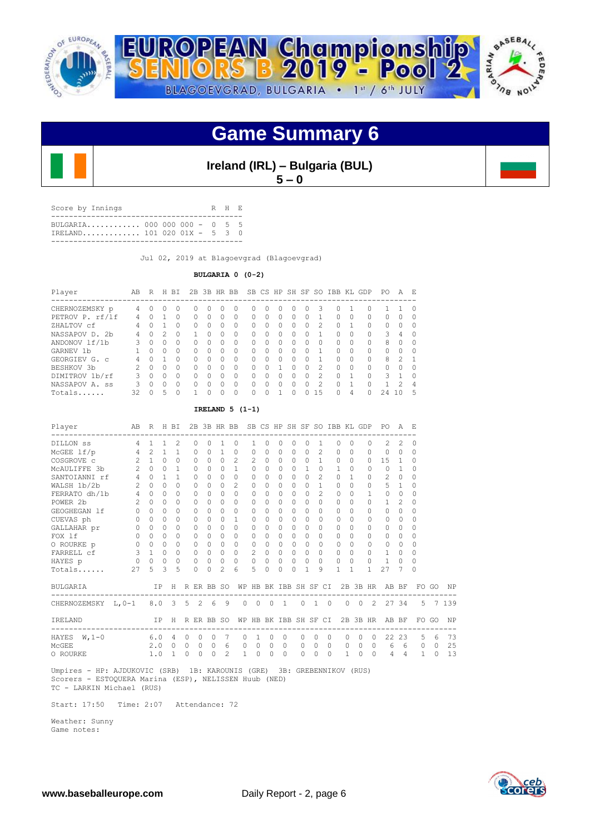

### **Game Summary 6**



**Ireland (IRL) – Bulgaria (BUL)**  $5 - 0$ 

| Score by Innings                                            |  |  | R H F. |  |
|-------------------------------------------------------------|--|--|--------|--|
| BULGARTA 000 000 000 - 0 5 5<br>IRELAND 101 020 01X - 5 3 0 |  |  |        |  |
|                                                             |  |  |        |  |

Jul 02, 2019 at Blagoevgrad (Blagoevgrad)

**BULGARIA 0 (0-2)**

| Player            | AB | R        | H       | BI       |          |   | 2B 3B HR BB  |          |              |              |   | SB CS HP SH SF |          | SO.            | IBB KL    |          | GDP          | PO       | A             | E.           |
|-------------------|----|----------|---------|----------|----------|---|--------------|----------|--------------|--------------|---|----------------|----------|----------------|-----------|----------|--------------|----------|---------------|--------------|
| CHERNOZEMSKY p    | 4  | O        | $^{()}$ | $\Omega$ |          | O | $\cup$       | $\Omega$ | $\Omega$     | $^{(1)}$     | Ω | 0              | $^{(1)}$ | 3              | 0         |          |              |          |               | $\Omega$     |
| PETROV P. rf/lf   | 4  | U        |         | ∩        | $\Omega$ | O | <sup>0</sup> | $\Omega$ | $\Omega$     | <sup>n</sup> | 0 | $\Omega$       | n        |                | $\Omega$  | $\Omega$ | <sup>0</sup> | 0        | O.            | <sup>0</sup> |
| ZHALTOV cf        | 4  | Λ        |         | ∩        | $\Omega$ | O | O            | 0        | $\Omega$     |              | Ω | $\Omega$       |          | $\mathfrak{D}$ | 0         |          | $\Omega$     | $\Omega$ |               | O            |
| NASSAPOV D. 2b    | 4  | O        |         | ∩        |          | Λ | O            | 0        | <sup>0</sup> |              | Ω | $\bigcap$      |          |                | 0         | $\Omega$ | $\Omega$     | 3        | 4             | ∩            |
| ANDONOV 1f/1b     |    | 0        | Ω       | $\Omega$ | $\Omega$ | O | ∩            | 0        | <sup>0</sup> | Ω            | Λ | $\Omega$       |          | O              | $\Omega$  | $\Omega$ | $\Omega$     | 8        | O.            | ∩            |
| GARNEV 1b         |    | U        | Ω       | $\Omega$ | $\Omega$ | U | ∩            | $\Omega$ | $\Omega$     |              | O | $\Omega$       |          |                | $\Omega$  | $\Omega$ | $\Omega$     | $\Omega$ |               | O            |
| GEORGIEV G. C     |    | U        |         | $\Omega$ | $\Omega$ | U | O            | $\Omega$ | $\Omega$     | Λ            | 0 | $\bigcap$      |          |                | $\Omega$  | $\Omega$ | $\cap$       | 8        | $\mathcal{P}$ | $\mathbf{1}$ |
| BESHKOV 3b        | っ  | $\cap$   | Λ       | $\Omega$ | $\Omega$ | U | ∩            | $\Omega$ | $\Omega$     | Λ            |   | $\bigcap$      | ∩        | $\mathcal{D}$  | $\bigcap$ | $\Omega$ | $\cap$       | $\Omega$ | ∩             | ∩            |
| DIMITROV 1b/rf    | 3  | $\Omega$ | 0       | $\Omega$ | $\Omega$ | U | O            | $\Omega$ | $\Omega$     | Λ            | Λ | $\bigcap$      | Ω        | $\mathcal{P}$  | $\Omega$  |          | $\cap$       | २        |               | $\Omega$     |
| NASSAPOV A.<br>SS | २  | O        | Ω       | $\Omega$ | $\cap$   | Λ | Ω            | $\Omega$ | ∩            |              | Λ | $\bigcap$      |          | 2              | $\Omega$  |          |              |          |               | 4            |
| Totals            | 32 | ∩        | 5       | $\Omega$ |          | ∩ | Λ            | $\Omega$ | ∩            |              |   |                |          | 1.5            | 0         | 4        |              | 24       |               | 5            |

#### **IRELAND 5 (1-1)**

| Player                            |                | AB R H BI           |              |                                |                |          | 2B 3B HR BB  |                |                       |                   |              |                |          |                       |          |                |              | SB CS HP SH SF SO IBB KL GDP |                      | PO.                           | A              | E.           |          |           |
|-----------------------------------|----------------|---------------------|--------------|--------------------------------|----------------|----------|--------------|----------------|-----------------------|-------------------|--------------|----------------|----------|-----------------------|----------|----------------|--------------|------------------------------|----------------------|-------------------------------|----------------|--------------|----------|-----------|
| DILLON SS                         | 4              | $\mathbf{1}$        | $\mathbf{1}$ | ------------<br>$\mathfrak{D}$ |                | $\Omega$ | 0            | 1              | $\Omega$              | 1                 | $\Omega$     | $\Omega$       | $\Omega$ | $\Omega$              |          | 1              | $\Omega$     | $\Omega$                     | $\Omega$             | ------------<br>$\mathcal{L}$ | $\mathfrak{D}$ | $\Omega$     |          |           |
| $McGEE$ lf/p                      | 4              | 2                   | $\mathbf{1}$ | $\mathbf{1}$                   |                | $\circ$  | 0            | 1              | 0                     | 0                 | 0            | 0              | 0        | $\Omega$              |          | $\overline{c}$ | 0            | $\circ$                      | $\Omega$             | $\circ$                       | $\circ$        | $\circ$      |          |           |
| COSGROVE C                        | $\mathcal{L}$  | 1                   | $\Omega$     | $\Omega$                       |                | $\Omega$ | $\Omega$     | $\Omega$       | $\mathcal{L}$         | $\mathfrak{D}$    | $\Omega$     | $\Omega$       | $\Omega$ | $\Omega$              |          | 1              | $\Omega$     | $\Omega$                     | $\Omega$             | 15                            | 1              | $\Omega$     |          |           |
| MCAULIFFE 3b                      | $\overline{2}$ | $\Omega$            | $\Omega$     | $\mathbf{1}$                   |                | $\Omega$ | 0            | $\cap$         | $\mathbf{1}$          | $\Omega$          | $\bigcap$    | $\Omega$       | $\cap$   | $\overline{1}$        |          | $\Omega$       | $\mathbf{1}$ | $\Omega$                     | $\cap$               | $\Omega$                      | $\overline{1}$ | $\Omega$     |          |           |
| SANTOIANNI rf                     | $4 -$          | $\Omega$            | $\mathbf{1}$ | $\mathbf{1}$                   |                | $\Omega$ | 0            | $\Omega$       | $\Omega$              | $\Omega$          | $\Omega$     | $\Omega$       | $\Omega$ | $\Omega$              |          | $\overline{c}$ | $\Omega$     | $\mathbf{1}$                 | $\Omega$             | $\mathbf{2}$                  | $\Omega$       | $\Omega$     |          |           |
| WALSH 1b/2b                       | 2              | $\Omega$            | $\Omega$     | $\bigcap$                      |                | $\Omega$ | 0            | $\Omega$       | $\mathcal{L}$         | $\Omega$          | $\cap$       | $\Omega$       | $\Omega$ | $\Omega$              |          | $\mathbf{1}$   | $\Omega$     | $\Omega$                     | $\Omega$             | 5                             | 1              | $\Omega$     |          |           |
| FERRATO dh/1b 4                   |                | $\Omega$            | $\Omega$     | $\bigcap$                      |                | $\Omega$ | 0            | $\bigcap$      | $\Omega$              | $\Omega$          | $\bigcap$    | $\Omega$       | $\cap$   | $\Omega$              |          | $\mathfrak{D}$ | $\Omega$     | $\Omega$                     | 1                    | 0                             | $\Omega$       | $\Omega$     |          |           |
| POWER 2b                          | $2^{\circ}$    | $\Omega$            | $\Omega$     | $\Omega$                       |                | $\Omega$ | 0            | $\Omega$       | $\Omega$              | $\Omega$          | $\Omega$     | $\Omega$       | $\circ$  | $\Omega$              | $\Omega$ |                | $\Omega$     | $\Omega$                     | $\Omega$             | 1                             | $\mathcal{L}$  | $\Omega$     |          |           |
| GEOGHEGAN 1f                      | $\circ$        | $\Omega$            | $\Omega$     | $\Omega$                       |                | $\Omega$ | 0            | $\Omega$       | $\Omega$              | $\Omega$          | 0            | $\Omega$       | $\Omega$ | $\Omega$              | $\Omega$ |                | $\Omega$     | $\Omega$                     | <sup>n</sup>         | $\Omega$                      | $\Omega$       | $\Omega$     |          |           |
| CUEVAS ph                         | $\overline{0}$ | $\Omega$            | $\Omega$     | $\Omega$                       |                | $\Omega$ | $\Omega$     | $\cap$         | $\mathbf{1}$          | $\Omega$          | <sup>n</sup> | $\Omega$       | $\Omega$ | $\Omega$              |          | $\Omega$       | $\Omega$     | $\Omega$                     | $\Omega$             | 0                             | 0              | $\Omega$     |          |           |
| GALLAHAR pr                       | $\circ$        | $\Omega$            | 0            | 0                              |                | $\Omega$ | $\Omega$     | $\Omega$       | $\Omega$              | $\Omega$          | $\Omega$     | $\Omega$       | $\circ$  | 0                     | $\circ$  |                | $\Omega$     | $\Omega$                     | $\Omega$             | $\Omega$                      | $\Omega$       | $\Omega$     |          |           |
| FOX 1f                            | $\Omega$       | $\Omega$            | $\Omega$     | $\bigcap$                      |                | $\Omega$ | 0            | $\Omega$       | $\Omega$              | $\Omega$          | $\cap$       | $\Omega$       | $\Omega$ | $\Omega$              | $\Omega$ |                | $\Omega$     | $\Omega$                     | $\cap$               | $\Omega$                      | $\Omega$       | $\Omega$     |          |           |
| O ROURKE p                        | $\overline{0}$ | $\Omega$            | $\Omega$     | $\Omega$                       |                | $\Omega$ | $\Omega$     | $\cap$         | $\Omega$              | 0                 | $\bigcap$    | $\Omega$       | $\Omega$ | $\Omega$              |          | $\Omega$       | $\Omega$     | $\Omega$                     | $\Omega$             | 0                             | $\Omega$       | $\Omega$     |          |           |
| FARRELL cf                        |                | $3 \quad 1 \quad 0$ |              | $\mathbf 0$                    |                | $\circ$  | $\circ$      | $\Omega$       | $\circ$               | 2                 | $\Omega$     | $\circ$        | $\circ$  | $\Omega$              | $\Omega$ |                | $\Omega$     | $\Omega$                     | $\Omega$             | 1                             | $\Omega$       | $\Omega$     |          |           |
| HAYES p                           | $\circ$        | $0\quad 0$          |              | $\circ$                        |                | $\circ$  | $\circ$      | $\circ$        | $\Omega$              | $\circ$           | $\Omega$     | $\circ$        | $\circ$  | $\Omega$              | $\Omega$ |                | $\circ$      | $\mathbf 0$                  | $\Omega$             | $\mathbf{1}$                  | $\Omega$       | $\Omega$     |          |           |
| Totals                            | 27             | 5                   | 3            | 5                              |                | $\Omega$ | $\Omega$     | $\mathcal{L}$  | 6                     | 5.                | 0            | $\Omega$       | $\Omega$ | 1                     |          | 9              | $\mathbf{1}$ | 1                            |                      | 27                            | 7              | <sup>0</sup> |          |           |
| BULGARIA                          |                |                     | IP           | H                              |                |          | R ER BB SO   |                |                       |                   |              |                |          | WP HB BK IBB SH SF CI |          |                |              | 2B 3B HR                     |                      | AB BF                         |                |              | FO GO    | NP        |
| CHERNOZEMSKY L, 0-1 8.0 3 5 2 6 9 |                |                     |              |                                |                |          |              |                |                       | $0\quad 0\quad 0$ |              | $\overline{1}$ |          | $0 \quad 1 \quad 0$   |          |                |              | $0\quad 0$                   |                      | 2 27 34                       |                |              |          | 5 7 1 3 9 |
| IRELAND                           |                |                     | IP           |                                |                |          | H R ER BB SO |                | WP HB BK IBB SH SF CI |                   |              |                |          |                       |          |                |              |                              |                      | 2B 3B HR AB BF                |                |              | FO GO    | NP        |
| HAYES $W, 1-0$                    |                | 6.0                 |              | 4                              | $\circ$        | 0        | $\mathbf{0}$ | 7              | 0                     | 1                 | $\circ$      |                | 0        | $\circ$               | $\Omega$ | $\circ$        |              | $\circ$                      | 0<br>$\circ$         | 22                            | 23             | 5            | 6        | 73        |
| MCGEE                             |                | 2.0                 |              | $\Omega$                       | $\overline{0}$ | $\Omega$ | $\Omega$     | 6              | $\Omega$              | $\Omega$          | $\Omega$     |                | $\Omega$ | $\Omega$              | $\Omega$ | $\Omega$       |              | $\Omega$                     | $0\quad 0$           | 6                             | 6              | 0            | $\Omega$ | 25        |
| O ROURKE                          |                | 1.0                 |              | 1                              | $\mathbf 0$    | 0        | $\Omega$     | $\mathfrak{D}$ | 1                     | $\Omega$          | 0            |                | $\Omega$ | $\Omega$              | $\Omega$ | $\Omega$       |              | 1                            | $\Omega$<br>$\Omega$ | 4                             | 4              | $\mathbf{1}$ | $\Omega$ | 13        |

 Umpires - HP: AJDUKOVIC (SRB) 1B: KAROUNIS (GRE) 3B: GREBENNIKOV (RUS) Scorers - ESTOQUERA Marina (ESP), NELISSEN Huub (NED) TC - LARKIN Michael (RUS)

Start: 17:50 Time: 2:07 Attendance: 72

 Weather: Sunny Game notes:

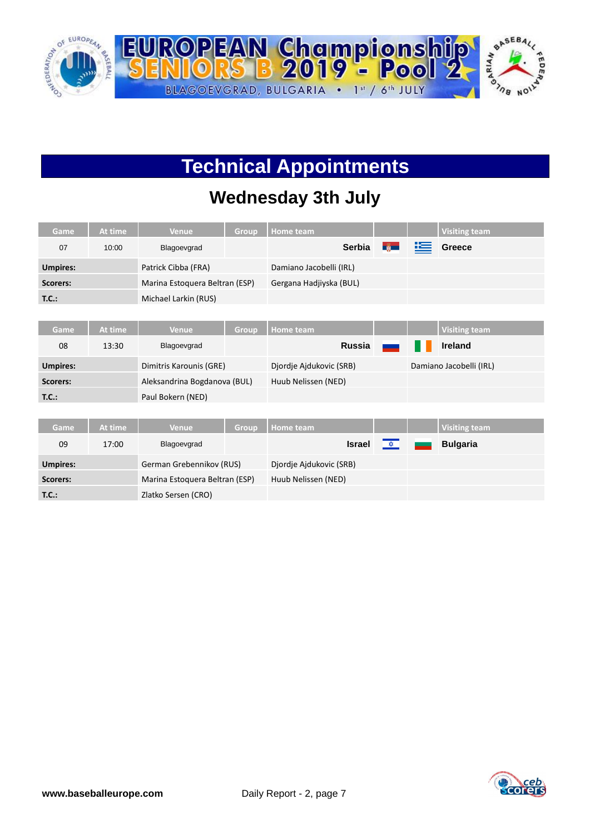

# **Technical Appointments**

### **Wednesday 3th July**

| Game            | At time | <b>Venue</b>                   | Group | Home team               |               |   | <b>Visiting team</b>    |
|-----------------|---------|--------------------------------|-------|-------------------------|---------------|---|-------------------------|
| 07              | 10:00   | Blagoevgrad                    |       | Serbia                  | $\frac{2}{3}$ | 準 | Greece                  |
| <b>Umpires:</b> |         | Patrick Cibba (FRA)            |       | Damiano Jacobelli (IRL) |               |   |                         |
| Scorers:        |         | Marina Estoquera Beltran (ESP) |       | Gergana Hadjiyska (BUL) |               |   |                         |
| T.C.:           |         | Michael Larkin (RUS)           |       |                         |               |   |                         |
|                 |         |                                |       |                         |               |   |                         |
| Game            | At time | <b>Venue</b>                   | Group | Home team               |               |   | <b>Visiting team</b>    |
| 08              | 13:30   | Blagoevgrad                    |       | <b>Russia</b>           |               |   | <b>Ireland</b>          |
| <b>Umpires:</b> |         | Dimitris Karounis (GRE)        |       | Djordje Ajdukovic (SRB) |               |   | Damiano Jacobelli (IRL) |
| Scorers:        |         | Aleksandrina Bogdanova (BUL)   |       | Huub Nelissen (NED)     |               |   |                         |
| T.C.:           |         | Paul Bokern (NED)              |       |                         |               |   |                         |
|                 |         |                                |       |                         |               |   |                         |
| <b>Game</b>     | At time | <b>Venue</b>                   | Group | <b>Home</b> team        |               |   | <b>Visiting team</b>    |
| 09              | 17:00   | Blagoevgrad                    |       | <b>Israel</b>           | 文             |   | <b>Bulgaria</b>         |
| <b>Umpires:</b> |         | German Grebennikov (RUS)       |       | Djordje Ajdukovic (SRB) |               |   |                         |

Scorers: Marina Estoquera Beltran (ESP) Huub Nelissen (NED)

**T.C.:** Zlatko Sersen (CRO)